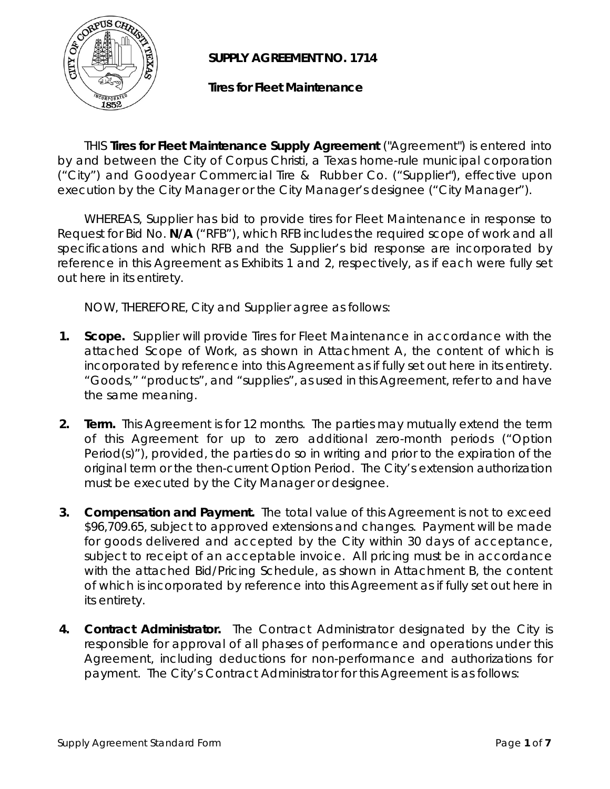

**SUPPLY AGREEMENT NO. 1714**

**Tires for Fleet Maintenance**

THIS **Tires for Fleet Maintenance Supply Agreement** ("Agreement") is entered into by and between the City of Corpus Christi, a Texas home-rule municipal corporation ("City") and Goodyear Commercial Tire & Rubber Co. ("Supplier"), effective upon execution by the City Manager or the City Manager's designee ("City Manager").

 WHEREAS, Supplier has bid to provide tires for Fleet Maintenance in response to Request for Bid No. **N/A** ("RFB"), which RFB includes the required scope of work and all specifications and which RFB and the Supplier's bid response are incorporated by reference in this Agreement as Exhibits 1 and 2, respectively, as if each were fully set out here in its entirety.

NOW, THEREFORE, City and Supplier agree as follows:

- **1. Scope.** Supplier will provide Tires for Fleet Maintenance in accordance with the attached Scope of Work, as shown in Attachment A, the content of which is incorporated by reference into this Agreement as if fully set out here in its entirety. "Goods," "products", and "supplies", as used in this Agreement, refer to and have the same meaning.
- **2. Term.** This Agreement is for 12 months. The parties may mutually extend the term of this Agreement for up to zero additional zero-month periods ("Option Period(s)"), provided, the parties do so in writing and prior to the expiration of the original term or the then-current Option Period. The City's extension authorization must be executed by the City Manager or designee.
- **3. Compensation and Payment.** The total value of this Agreement is not to exceed \$96,709.65, subject to approved extensions and changes. Payment will be made for goods delivered and accepted by the City within 30 days of acceptance, subject to receipt of an acceptable invoice. All pricing must be in accordance with the attached Bid/Pricing Schedule, as shown in Attachment B, the content of which is incorporated by reference into this Agreement as if fully set out here in its entirety.
- **4. Contract Administrator.** The Contract Administrator designated by the City is responsible for approval of all phases of performance and operations under this Agreement, including deductions for non-performance and authorizations for payment. The City's Contract Administrator for this Agreement is as follows: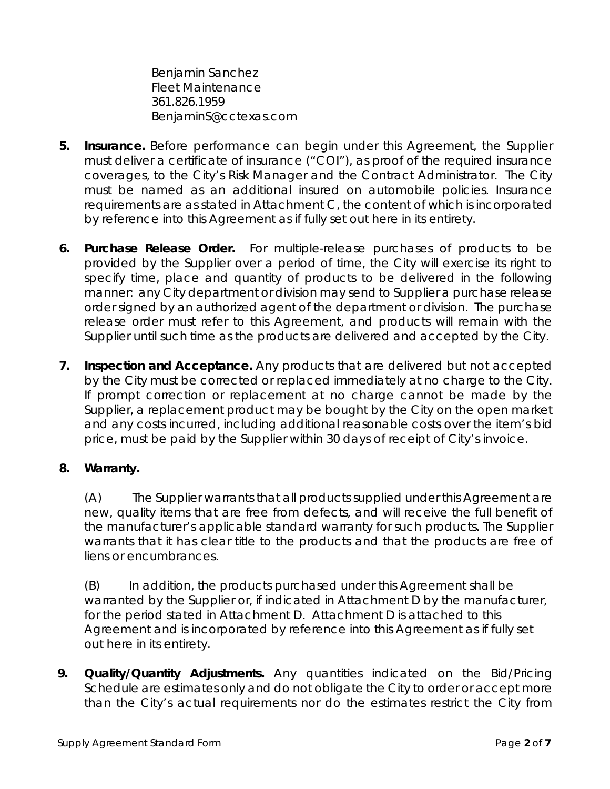Benjamin Sanchez Fleet Maintenance 361.826.1959 BenjaminS@cctexas.com

- **5. Insurance.** Before performance can begin under this Agreement, the Supplier must deliver a certificate of insurance ("COI"), as proof of the required insurance coverages, to the City's Risk Manager and the Contract Administrator. The City must be named as an additional insured on automobile policies. Insurance requirements are as stated in Attachment C, the content of which is incorporated by reference into this Agreement as if fully set out here in its entirety.
- **6. Purchase Release Order.** For multiple-release purchases of products to be provided by the Supplier over a period of time, the City will exercise its right to specify time, place and quantity of products to be delivered in the following manner: any City department or division may send to Supplier a purchase release order signed by an authorized agent of the department or division. The purchase release order must refer to this Agreement, and products will remain with the Supplier until such time as the products are delivered and accepted by the City.
- **7. Inspection and Acceptance.** Any products that are delivered but not accepted by the City must be corrected or replaced immediately at no charge to the City. If prompt correction or replacement at no charge cannot be made by the Supplier, a replacement product may be bought by the City on the open market and any costs incurred, including additional reasonable costs over the item's bid price, must be paid by the Supplier within 30 days of receipt of City's invoice.

## **8. Warranty.**

(A) The Supplier warrants that all products supplied under this Agreement are new, quality items that are free from defects, and will receive the full benefit of the manufacturer's applicable standard warranty for such products. The Supplier warrants that it has clear title to the products and that the products are free of liens or encumbrances.

(B) In addition, the products purchased under this Agreement shall be warranted by the Supplier or, if indicated in Attachment D by the manufacturer, for the period stated in Attachment D. Attachment D is attached to this Agreement and is incorporated by reference into this Agreement as if fully set out here in its entirety.

**9. Quality/Quantity Adjustments.** Any quantities indicated on the Bid/Pricing Schedule are estimates only and do not obligate the City to order or accept more than the City's actual requirements nor do the estimates restrict the City from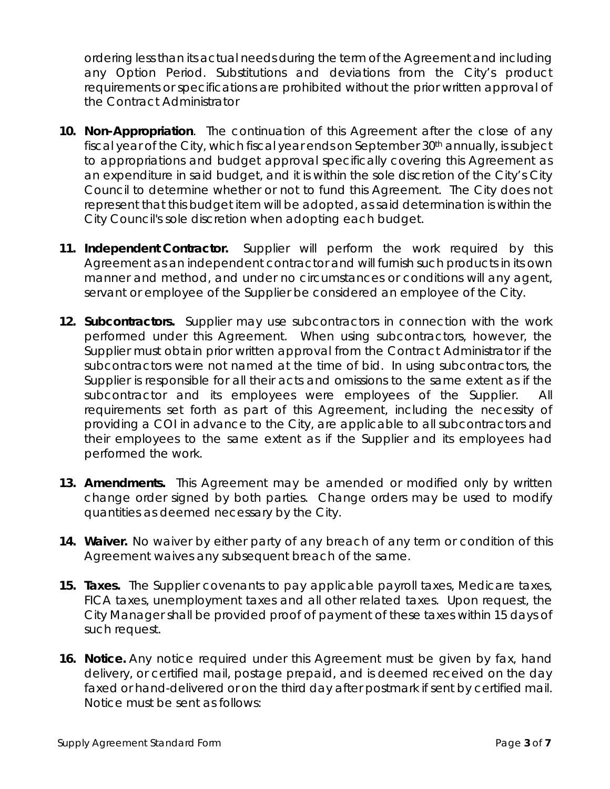ordering less than its actual needs during the term of the Agreement and including any Option Period. Substitutions and deviations from the City's product requirements or specifications are prohibited without the prior written approval of the Contract Administrator

- **10. Non-Appropriation**. The continuation of this Agreement after the close of any fiscal year of the City, which fiscal year ends on September 30<sup>th</sup> annually, is subject to appropriations and budget approval specifically covering this Agreement as an expenditure in said budget, and it is within the sole discretion of the City's City Council to determine whether or not to fund this Agreement. The City does not represent that this budget item will be adopted, as said determination is within the City Council's sole discretion when adopting each budget.
- **11. Independent Contractor.** Supplier will perform the work required by this Agreement as an independent contractor and will furnish such products in its own manner and method, and under no circumstances or conditions will any agent, servant or employee of the Supplier be considered an employee of the City.
- **12. Subcontractors.** Supplier may use subcontractors in connection with the work performed under this Agreement. When using subcontractors, however, the Supplier must obtain prior written approval from the Contract Administrator if the subcontractors were not named at the time of bid. In using subcontractors, the Supplier is responsible for all their acts and omissions to the same extent as if the subcontractor and its employees were employees of the Supplier. All requirements set forth as part of this Agreement, including the necessity of providing a COI in advance to the City, are applicable to all subcontractors and their employees to the same extent as if the Supplier and its employees had performed the work.
- **13. Amendments.** This Agreement may be amended or modified only by written change order signed by both parties. Change orders may be used to modify quantities as deemed necessary by the City.
- **14. Waiver.** No waiver by either party of any breach of any term or condition of this Agreement waives any subsequent breach of the same.
- **15. Taxes.** The Supplier covenants to pay applicable payroll taxes, Medicare taxes, FICA taxes, unemployment taxes and all other related taxes. Upon request, the City Manager shall be provided proof of payment of these taxes within 15 days of such request.
- **16. Notice.** Any notice required under this Agreement must be given by fax, hand delivery, or certified mail, postage prepaid, and is deemed received on the day faxed or hand-delivered or on the third day after postmark if sent by certified mail. Notice must be sent as follows: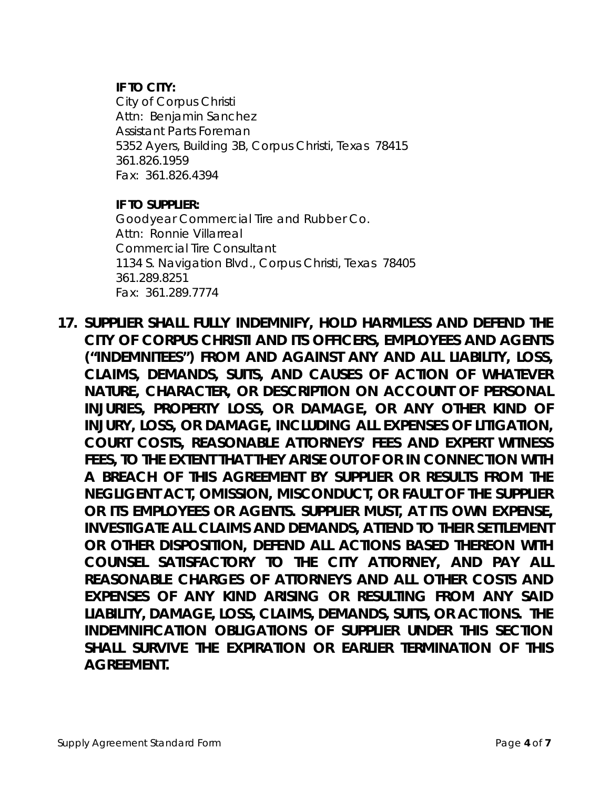### **IF TO CITY:**

City of Corpus Christi Attn: Benjamin Sanchez Assistant Parts Foreman 5352 Ayers, Building 3B, Corpus Christi, Texas 78415 361.826.1959 Fax: 361.826.4394

#### **IF TO SUPPLIER:**

Goodyear Commercial Tire and Rubber Co. Attn: Ronnie Villarreal Commercial Tire Consultant 1134 S. Navigation Blvd., Corpus Christi, Texas 78405 361.289.8251 Fax: 361.289.7774

**17.** *SUPPLIER SHALL FULLY INDEMNIFY, HOLD HARMLESS AND DEFEND THE CITY OF CORPUS CHRISTI AND ITS OFFICERS, EMPLOYEES AND AGENTS ("INDEMNITEES") FROM AND AGAINST ANY AND ALL LIABILITY, LOSS, CLAIMS, DEMANDS, SUITS, AND CAUSES OF ACTION OF WHATEVER NATURE, CHARACTER, OR DESCRIPTION ON ACCOUNT OF PERSONAL INJURIES, PROPERTY LOSS, OR DAMAGE, OR ANY OTHER KIND OF INJURY, LOSS, OR DAMAGE, INCLUDING ALL EXPENSES OF LITIGATION, COURT COSTS, REASONABLE ATTORNEYS' FEES AND EXPERT WITNESS FEES, TO THE EXTENT THAT THEY ARISE OUT OF OR IN CONNECTION WITH A BREACH OF THIS AGREEMENT BY SUPPLIER OR RESULTS FROM THE NEGLIGENT ACT, OMISSION, MISCONDUCT, OR FAULT OF THE SUPPLIER OR ITS EMPLOYEES OR AGENTS. SUPPLIER MUST, AT ITS OWN EXPENSE, INVESTIGATE ALL CLAIMS AND DEMANDS, ATTEND TO THEIR SETTLEMENT OR OTHER DISPOSITION, DEFEND ALL ACTIONS BASED THEREON WITH COUNSEL SATISFACTORY TO THE CITY ATTORNEY, AND PAY ALL REASONABLE CHARGES OF ATTORNEYS AND ALL OTHER COSTS AND EXPENSES OF ANY KIND ARISING OR RESULTING FROM ANY SAID LIABILITY, DAMAGE, LOSS, CLAIMS, DEMANDS, SUITS, OR ACTIONS. THE INDEMNIFICATION OBLIGATIONS OF SUPPLIER UNDER THIS SECTION SHALL SURVIVE THE EXPIRATION OR EARLIER TERMINATION OF THIS AGREEMENT.*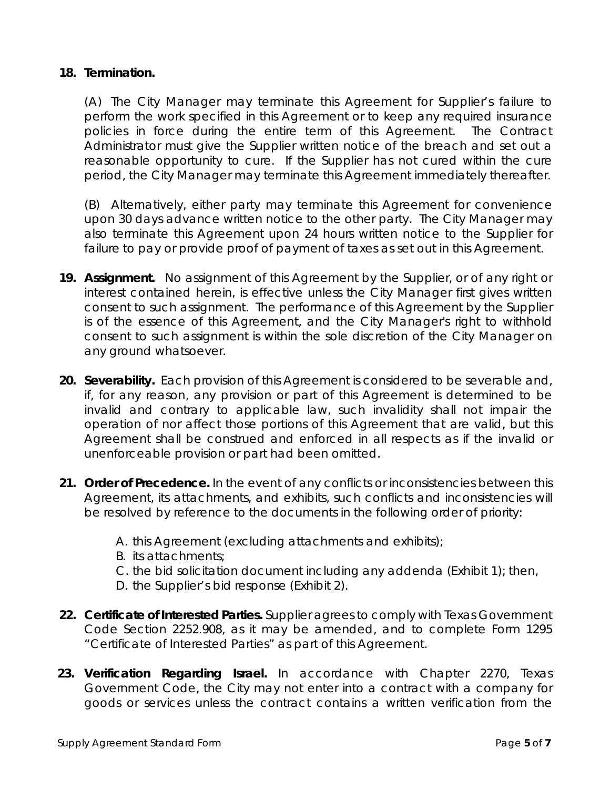#### **18. Termination.**

(A) The City Manager may terminate this Agreement for Supplier's failure to perform the work specified in this Agreement or to keep any required insurance policies in force during the entire term of this Agreement. The Contract Administrator must give the Supplier written notice of the breach and set out a reasonable opportunity to cure. If the Supplier has not cured within the cure period, the City Manager may terminate this Agreement immediately thereafter.

(B) Alternatively, either party may terminate this Agreement for convenience upon 30 days advance written notice to the other party. The City Manager may also terminate this Agreement upon 24 hours written notice to the Supplier for failure to pay or provide proof of payment of taxes as set out in this Agreement.

- **19. Assignment.** No assignment of this Agreement by the Supplier, or of any right or interest contained herein, is effective unless the City Manager first gives written consent to such assignment. The performance of this Agreement by the Supplier is of the essence of this Agreement, and the City Manager's right to withhold consent to such assignment is within the sole discretion of the City Manager on any ground whatsoever.
- **20. Severability.** Each provision of this Agreement is considered to be severable and, if, for any reason, any provision or part of this Agreement is determined to be invalid and contrary to applicable law, such invalidity shall not impair the operation of nor affect those portions of this Agreement that are valid, but this Agreement shall be construed and enforced in all respects as if the invalid or unenforceable provision or part had been omitted.
- **21. Order of Precedence.** In the event of any conflicts or inconsistencies between this Agreement, its attachments, and exhibits, such conflicts and inconsistencies will be resolved by reference to the documents in the following order of priority:
	- A. this Agreement (excluding attachments and exhibits);
	- B. its attachments;
	- C. the bid solicitation document including any addenda (Exhibit 1); then,
	- D. the Supplier's bid response (Exhibit 2).
- **22. Certificate of Interested Parties.** Supplier agrees to comply with Texas Government Code Section 2252.908, as it may be amended, and to complete Form 1295 "Certificate of Interested Parties" as part of this Agreement.
- **23. Verification Regarding Israel.** In accordance with Chapter 2270, Texas Government Code, the City may not enter into a contract with a company for goods or services unless the contract contains a written verification from the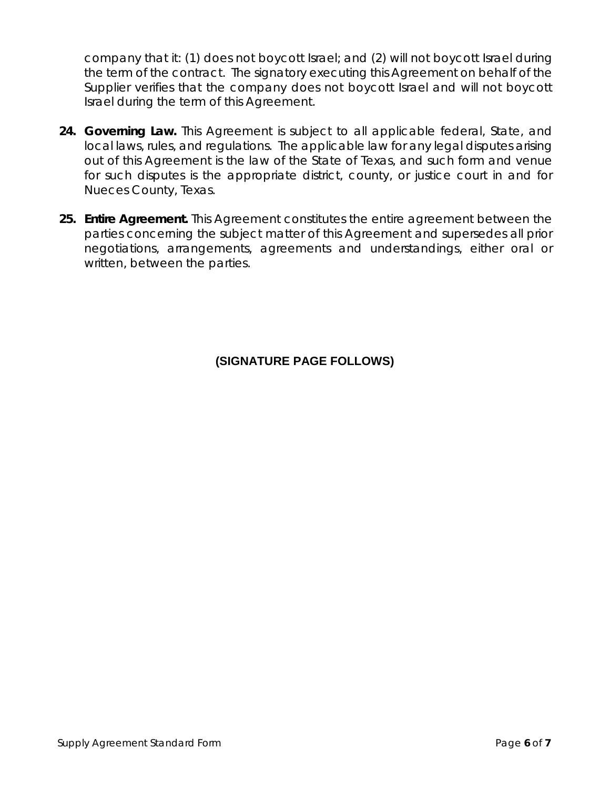company that it: (1) does not boycott Israel; and (2) will not boycott Israel during the term of the contract. The signatory executing this Agreement on behalf of the Supplier verifies that the company does not boycott Israel and will not boycott Israel during the term of this Agreement.

- **24. Governing Law.** This Agreement is subject to all applicable federal, State, and local laws, rules, and regulations. The applicable law for any legal disputes arising out of this Agreement is the law of the State of Texas, and such form and venue for such disputes is the appropriate district, county, or justice court in and for Nueces County, Texas.
- **25. Entire Agreement.** This Agreement constitutes the entire agreement between the parties concerning the subject matter of this Agreement and supersedes all prior negotiations, arrangements, agreements and understandings, either oral or written, between the parties.

# **(SIGNATURE PAGE FOLLOWS)**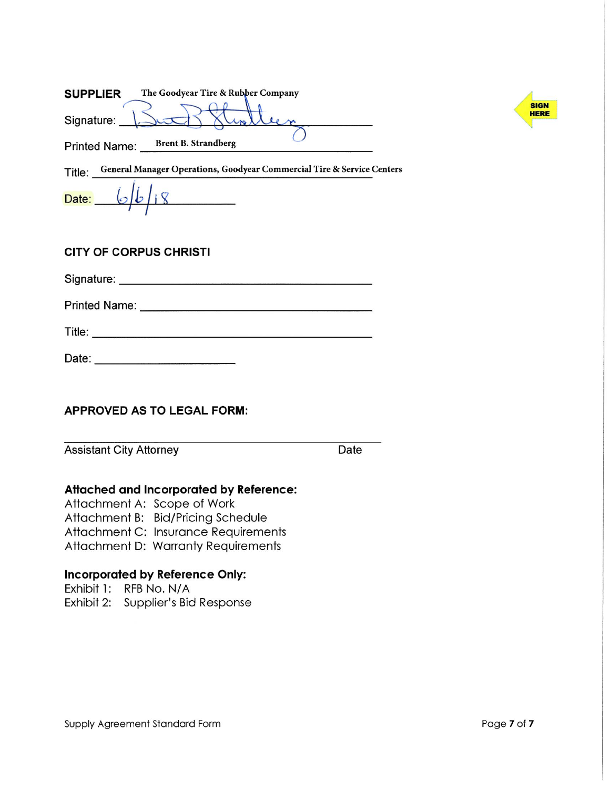| <b>SUPPLIER</b> The Goodyear Tire & Rubber Company                                                                                                                                                                             |      |  |  |  |  |  |
|--------------------------------------------------------------------------------------------------------------------------------------------------------------------------------------------------------------------------------|------|--|--|--|--|--|
| Signature: 1                                                                                                                                                                                                                   |      |  |  |  |  |  |
| Printed Name: Brent B. Strandberg                                                                                                                                                                                              |      |  |  |  |  |  |
| Title: General Manager Operations, Goodyear Commercial Tire & Service Centers                                                                                                                                                  |      |  |  |  |  |  |
| $\frac{Date}{Date}$ $6/b/i8$                                                                                                                                                                                                   |      |  |  |  |  |  |
| <b>CITY OF CORPUS CHRISTI</b>                                                                                                                                                                                                  |      |  |  |  |  |  |
|                                                                                                                                                                                                                                |      |  |  |  |  |  |
| Printed Name: Name: Name School and School and School and School and School and School and School and School and School and School and School and School and School and School and School and School and School and School and |      |  |  |  |  |  |
|                                                                                                                                                                                                                                |      |  |  |  |  |  |
|                                                                                                                                                                                                                                |      |  |  |  |  |  |
| <b>APPROVED AS TO LEGAL FORM:</b>                                                                                                                                                                                              |      |  |  |  |  |  |
| <b>Assistant City Attorney</b>                                                                                                                                                                                                 | Date |  |  |  |  |  |
| Attached and Incorporated by Reference:<br>Attachment A: Scope of Work<br>Attachment B: Bid/Pricing Schedule<br>Attachment C: Insurance Requirements                                                                           |      |  |  |  |  |  |

Attachment D: Warranty Requirements

# Incorporated by Reference Only:

Exhibit 1: RFB No. N/A Exhibit 2: Supplier's Bid Response

SIGN HERE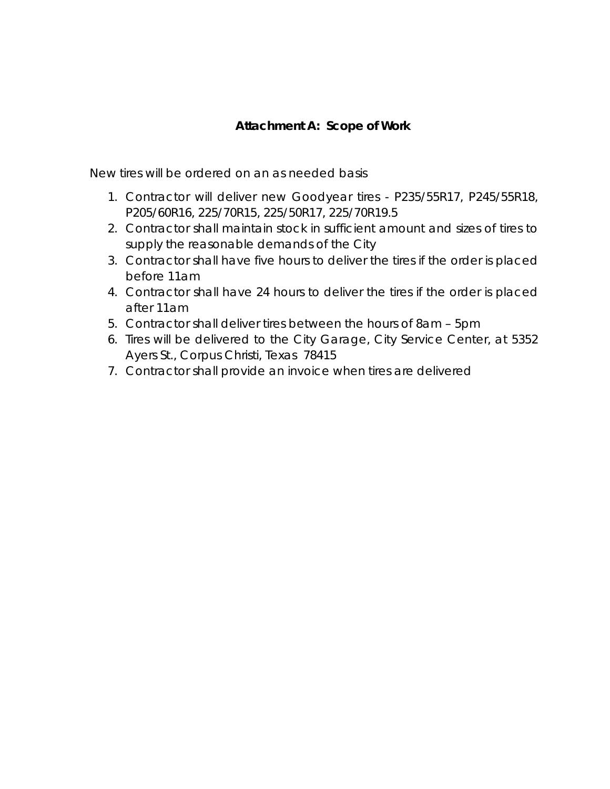# **Attachment A: Scope of Work**

New tires will be ordered on an as needed basis

- 1. Contractor will deliver new Goodyear tires P235/55R17, P245/55R18, P205/60R16, 225/70R15, 225/50R17, 225/70R19.5
- 2. Contractor shall maintain stock in sufficient amount and sizes of tires to supply the reasonable demands of the City
- 3. Contractor shall have five hours to deliver the tires if the order is placed before 11am
- 4. Contractor shall have 24 hours to deliver the tires if the order is placed after 11am
- 5. Contractor shall deliver tires between the hours of 8am 5pm
- 6. Tires will be delivered to the City Garage, City Service Center, at 5352 Ayers St., Corpus Christi, Texas 78415
- 7. Contractor shall provide an invoice when tires are delivered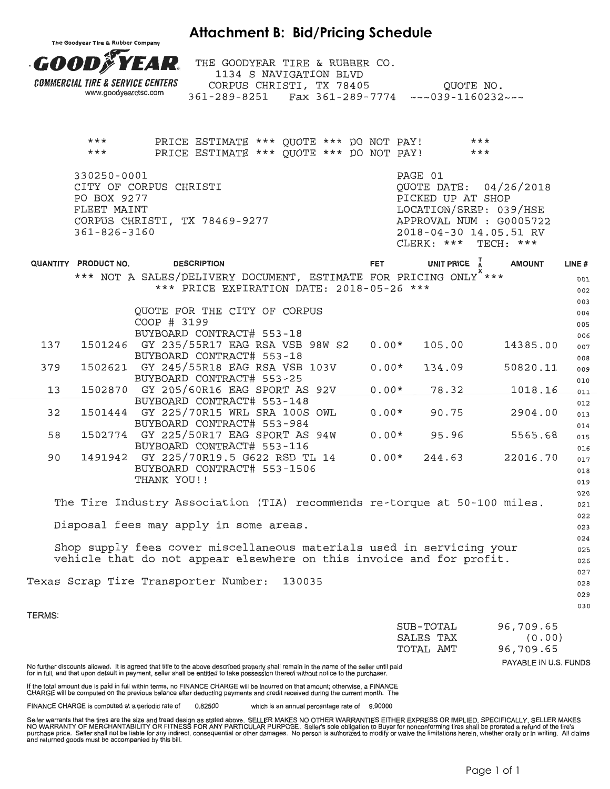### **Attachment B: Bid/Pricing Schedule**



330250-0001

PO BOX 9277 FLEET MAINT

 $361 - 826 - 3160$ 

THE GOODYEAR TIRE & RUBBER CO. 1134 S NAVIGATION BLVD CORPUS CHRISTI, TX 78405 QUOTE NO. Fax  $361 - 289 - 7774$  ~~~039-1160232~~~  $361 - 289 - 8251$ 

\*\*\* PRICE ESTIMATE \*\*\* QUOTE \*\*\* DO NOT PAY!  $***$ PRICE ESTIMATE \*\*\* QUOTE \*\*\* DO NOT PAY!  $***$  $***$ 

PAGE 01 CITY OF CORPUS CHRISTI QUOTE DATE: 04/26/2018 PICKED UP AT SHOP LOCATION/SREP: 039/HSE CORPUS CHRISTI, TX 78469-9277 APPROVAL NUM : G0005722 2018-04-30 14.05.51 RV CLERK: \*\*\* TECH: \*\*\*

|                                                                                                                                                             | QUANTITY PRODUCT NO. | <b>DESCRIPTION</b>                                                        | <b>FET</b> | UNIT PRICE $\lambda$ | <b>AMOUNT</b> | LINE# |
|-------------------------------------------------------------------------------------------------------------------------------------------------------------|----------------------|---------------------------------------------------------------------------|------------|----------------------|---------------|-------|
|                                                                                                                                                             |                      | *** NOT A SALES/DELIVERY DOCUMENT, ESTIMATE FOR PRICING ONLY ***          |            |                      |               | 001   |
|                                                                                                                                                             |                      | *** PRICE EXPIRATION DATE: 2018-05-26 ***                                 |            |                      |               | 002   |
|                                                                                                                                                             |                      |                                                                           |            |                      |               | 003   |
|                                                                                                                                                             |                      | QUOTE FOR THE CITY OF CORPUS                                              |            |                      |               | 004   |
|                                                                                                                                                             |                      | COOP # 3199                                                               |            |                      |               | 005   |
|                                                                                                                                                             |                      | BUYBOARD CONTRACT# 553-18                                                 |            |                      |               | 006   |
| 137                                                                                                                                                         |                      | 1501246 GY 235/55R17 EAG RSA VSB 98W S2                                   | $0.00*$    | 105.00               | 14385.00      | 007   |
|                                                                                                                                                             |                      | BUYBOARD CONTRACT# 553-18                                                 |            |                      |               | 008   |
| 379                                                                                                                                                         |                      | 1502621 GY 245/55R18 EAG RSA VSB 103V                                     | $0.00*$    | 134.09               | 50820.11      | 009   |
|                                                                                                                                                             |                      | BUYBOARD CONTRACT# 553-25                                                 |            |                      |               | 010   |
| 13                                                                                                                                                          |                      | 1502870 GY 205/60R16 EAG SPORT AS 92V                                     | $0.00*$    | 78.32                | 1018.16       | 011   |
|                                                                                                                                                             |                      | BUYBOARD CONTRACT# 553-148                                                |            |                      |               | 012   |
| 32                                                                                                                                                          |                      | 1501444 GY 225/70R15 WRL SRA 100S OWL                                     | $0.00*$    | 90.75                | 2904.00       | 013   |
|                                                                                                                                                             |                      | BUYBOARD CONTRACT# 553-984                                                |            |                      |               | 014   |
| 58                                                                                                                                                          |                      | 1502774 GY 225/50R17 EAG SPORT AS 94W                                     | $0.00*$    | 95.96                | 5565.68       | 015   |
|                                                                                                                                                             |                      | BUYBOARD CONTRACT# 553-116                                                |            |                      |               | 016   |
| 90                                                                                                                                                          |                      | 1491942 GY 225/70R19.5 G622 RSD TL 14<br>BUYBOARD CONTRACT# 553-1506      | $0.00*$    | 244.63               | 22016.70      | 017   |
|                                                                                                                                                             |                      | THANK YOU!!                                                               |            |                      |               | 018   |
|                                                                                                                                                             |                      |                                                                           |            |                      |               | 019   |
|                                                                                                                                                             |                      | The Tire Industry Association (TIA) recommends re-torque at 50-100 miles. |            |                      |               | 020   |
|                                                                                                                                                             |                      |                                                                           |            |                      |               | 021   |
| 022<br>Disposal fees may apply in some areas.                                                                                                               |                      |                                                                           |            |                      |               |       |
|                                                                                                                                                             |                      |                                                                           |            |                      |               | 023   |
|                                                                                                                                                             |                      |                                                                           |            |                      |               | 024   |
| Shop supply fees cover miscellaneous materials used in servicing your<br>025<br>vehicle that do not appear elsewhere on this invoice and for profit.<br>026 |                      |                                                                           |            |                      |               |       |
|                                                                                                                                                             |                      |                                                                           |            |                      |               | 027   |
| Texas Scrap Tire Transporter Number:<br>130035                                                                                                              |                      |                                                                           |            |                      |               | 028   |
|                                                                                                                                                             |                      |                                                                           |            |                      |               | 029   |
|                                                                                                                                                             |                      |                                                                           |            |                      |               | 030   |
| TERMS:                                                                                                                                                      |                      |                                                                           |            |                      |               |       |
|                                                                                                                                                             |                      |                                                                           |            | SUB-TOTAL            | 96,709.65     |       |
|                                                                                                                                                             |                      |                                                                           |            | SALES TAX            | (0.00)        |       |
|                                                                                                                                                             |                      |                                                                           |            | TOTAL AMT            | 96,709.65     |       |

PAYABLE IN U.S. FUNDS

No further discounts allowed. It is agreed that title to the above described property shall remain in the name of the seller until paid<br>for in full, and that upon default in payment, seller shall be entitled to take posses

If the total amount due is paid in full within terms, no FINANCE CHARGE will be incurred on that amount; otherwise, a FINANCE CHARGE will be computed on the previous balance after deducting payments and credit received during the current month. The

FINANCE CHARGE is computed at a periodic rate of 0.82500 which is an annual percentage rate of 9.90000

Seller warrants that the tires are the size and tread design as stated above. SELLER MAKES NO OTHER WARRANTIES EITHER EXPRESS OR IMPLIED, SPECIFICALLY, SELLER MAKES<br>NO WARRANTY OF MERCHANTABILITY OR FITNESS FOR ANY PARTICU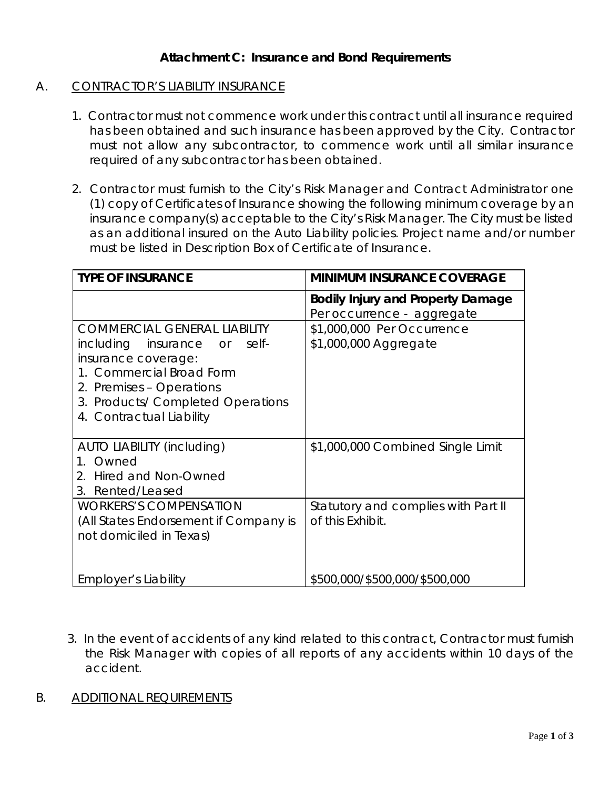#### A. CONTRACTOR'S LIABILITY INSURANCE

- 1. Contractor must not commence work under this contract until all insurance required has been obtained and such insurance has been approved by the City. Contractor must not allow any subcontractor, to commence work until all similar insurance required of any subcontractor has been obtained.
- 2. Contractor must furnish to the City's Risk Manager and Contract Administrator one (1) copy of Certificates of Insurance showing the following minimum coverage by an insurance company(s) acceptable to the City's Risk Manager. The City must be listed as an additional insured on the Auto Liability policies. Project name and/or number must be listed in Description Box of Certificate of Insurance.

| <b>TYPE OF INSURANCE</b>                                                                                                                                                                                                                         | <b>MINIMUM INSURANCE COVERAGE</b>                                      |
|--------------------------------------------------------------------------------------------------------------------------------------------------------------------------------------------------------------------------------------------------|------------------------------------------------------------------------|
|                                                                                                                                                                                                                                                  | <b>Bodily Injury and Property Damage</b><br>Per occurrence - aggregate |
| <b>COMMERCIAL GENERAL LIABILITY</b><br><i>including</i><br>self-<br>insurance<br>$\overline{or}$<br>insurance coverage:<br>1. Commercial Broad Form<br>2. Premises - Operations<br>3. Products/ Completed Operations<br>4. Contractual Liability | \$1,000,000 Per Occurrence<br>\$1,000,000 Aggregate                    |
| AUTO LIABILITY (including)<br>1. Owned<br>Hired and Non-Owned<br>2.<br>Rented/Leased<br>$3 -$                                                                                                                                                    | \$1,000,000 Combined Single Limit                                      |
| <b>WORKERS'S COMPENSATION</b><br>(All States Endorsement if Company is<br>not domiciled in Texas)                                                                                                                                                | Statutory and complies with Part II<br>of this Exhibit.                |
| <b>Employer's Liability</b>                                                                                                                                                                                                                      | \$500,000/\$500,000/\$500,000                                          |

- 3. In the event of accidents of any kind related to this contract, Contractor must furnish the Risk Manager with copies of all reports of any accidents within 10 days of the accident.
- B. ADDITIONAL REQUIREMENTS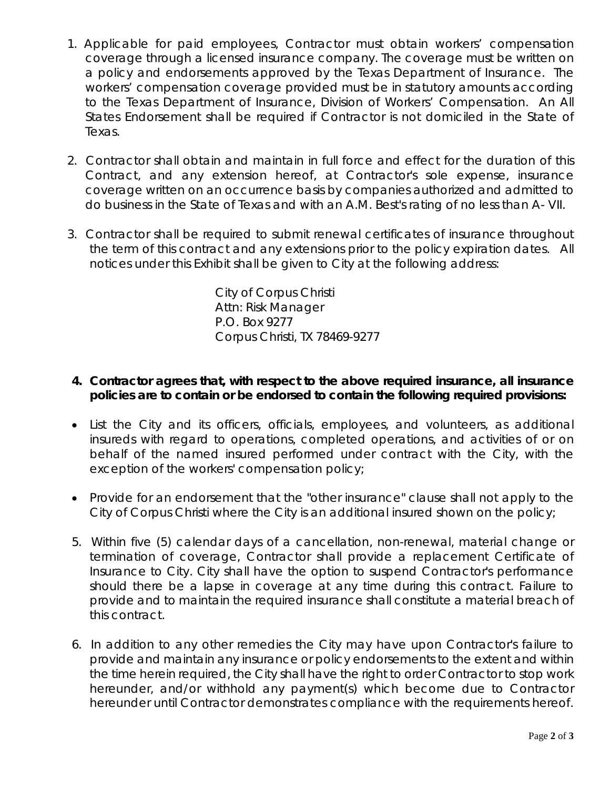- 1. Applicable for paid employees, Contractor must obtain workers' compensation coverage through a licensed insurance company. The coverage must be written on a policy and endorsements approved by the Texas Department of Insurance. The workers' compensation coverage provided must be in statutory amounts according to the Texas Department of Insurance, Division of Workers' Compensation. An All States Endorsement shall be required if Contractor is not domiciled in the State of Texas.
- 2. Contractor shall obtain and maintain in full force and effect for the duration of this Contract, and any extension hereof, at Contractor's sole expense, insurance coverage written on an occurrence basis by companies authorized and admitted to do business in the State of Texas and with an A.M. Best's rating of no less than A- VII.
- 3. Contractor shall be required to submit renewal certificates of insurance throughout the term of this contract and any extensions prior to the policy expiration dates. All notices under this Exhibit shall be given to City at the following address:

City of Corpus Christi Attn: Risk Manager P.O. Box 9277 Corpus Christi, TX 78469-9277

## **4. Contractor agrees that, with respect to the above required insurance, all insurance policies are to contain or be endorsed to contain the following required provisions:**

- List the City and its officers, officials, employees, and volunteers, as additional insureds with regard to operations, completed operations, and activities of or on behalf of the named insured performed under contract with the City, with the exception of the workers' compensation policy;
- Provide for an endorsement that the "other insurance" clause shall not apply to the City of Corpus Christi where the City is an additional insured shown on the policy;
- 5. Within five (5) calendar days of a cancellation, non-renewal, material change or termination of coverage, Contractor shall provide a replacement Certificate of Insurance to City. City shall have the option to suspend Contractor's performance should there be a lapse in coverage at any time during this contract. Failure to provide and to maintain the required insurance shall constitute a material breach of this contract.
- 6. In addition to any other remedies the City may have upon Contractor's failure to provide and maintain any insurance or policy endorsements to the extent and within the time herein required, the City shall have the right to order Contractor to stop work hereunder, and/or withhold any payment(s) which become due to Contractor hereunder until Contractor demonstrates compliance with the requirements hereof.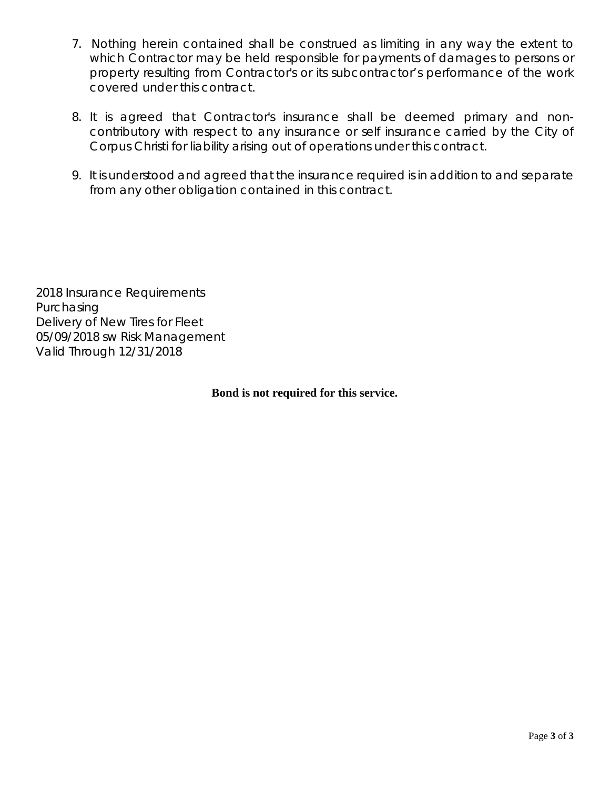- 7. Nothing herein contained shall be construed as limiting in any way the extent to which Contractor may be held responsible for payments of damages to persons or property resulting from Contractor's or its subcontractor's performance of the work covered under this contract.
- 8. It is agreed that Contractor's insurance shall be deemed primary and noncontributory with respect to any insurance or self insurance carried by the City of Corpus Christi for liability arising out of operations under this contract.
- 9. It is understood and agreed that the insurance required is in addition to and separate from any other obligation contained in this contract.

2018 Insurance Requirements Purchasing Delivery of New Tires for Fleet 05/09/2018 sw Risk Management Valid Through 12/31/2018

**Bond is not required for this service.**